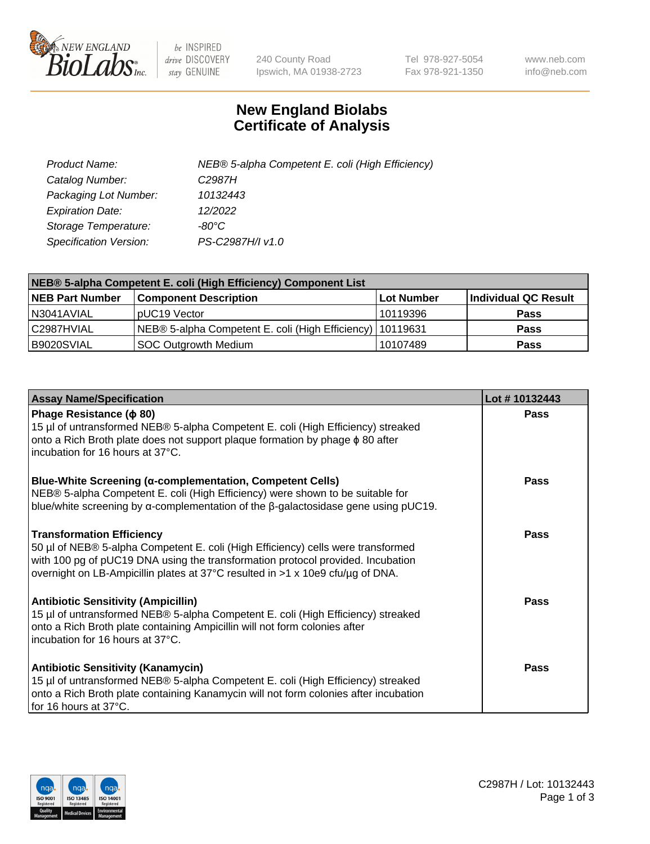

 $be$  INSPIRED drive DISCOVERY stay GENUINE

240 County Road Ipswich, MA 01938-2723 Tel 978-927-5054 Fax 978-921-1350 www.neb.com info@neb.com

## **New England Biolabs Certificate of Analysis**

| Product Name:           | NEB® 5-alpha Competent E. coli (High Efficiency) |
|-------------------------|--------------------------------------------------|
| Catalog Number:         | C <sub>2987</sub> H                              |
| Packaging Lot Number:   | 10132443                                         |
| <b>Expiration Date:</b> | 12/2022                                          |
| Storage Temperature:    | -80°C                                            |
| Specification Version:  | PS-C2987H/I v1.0                                 |

| NEB® 5-alpha Competent E. coli (High Efficiency) Component List |                                                             |                   |                      |  |
|-----------------------------------------------------------------|-------------------------------------------------------------|-------------------|----------------------|--|
| <b>NEB Part Number</b>                                          | <b>Component Description</b>                                | <b>Lot Number</b> | Individual QC Result |  |
| N3041AVIAL                                                      | pUC19 Vector                                                | 10119396          | <b>Pass</b>          |  |
| C2987HVIAL                                                      | NEB® 5-alpha Competent E. coli (High Efficiency)   10119631 |                   | <b>Pass</b>          |  |
| B9020SVIAL                                                      | SOC Outgrowth Medium                                        | 10107489          | <b>Pass</b>          |  |

| <b>Assay Name/Specification</b>                                                                                                                                                                                                                                                           | Lot #10132443 |
|-------------------------------------------------------------------------------------------------------------------------------------------------------------------------------------------------------------------------------------------------------------------------------------------|---------------|
| Phage Resistance ( $\phi$ 80)<br>15 µl of untransformed NEB® 5-alpha Competent E. coli (High Efficiency) streaked<br>onto a Rich Broth plate does not support plaque formation by phage $\phi$ 80 after<br>incubation for 16 hours at 37°C.                                               | <b>Pass</b>   |
| <b>Blue-White Screening (α-complementation, Competent Cells)</b><br>NEB® 5-alpha Competent E. coli (High Efficiency) were shown to be suitable for<br>blue/white screening by $\alpha$ -complementation of the $\beta$ -galactosidase gene using pUC19.                                   | Pass          |
| <b>Transformation Efficiency</b><br>50 µl of NEB® 5-alpha Competent E. coli (High Efficiency) cells were transformed<br>with 100 pg of pUC19 DNA using the transformation protocol provided. Incubation<br>overnight on LB-Ampicillin plates at 37°C resulted in >1 x 10e9 cfu/µg of DNA. | Pass          |
| <b>Antibiotic Sensitivity (Ampicillin)</b><br>15 µl of untransformed NEB® 5-alpha Competent E. coli (High Efficiency) streaked<br>onto a Rich Broth plate containing Ampicillin will not form colonies after<br>incubation for 16 hours at 37°C.                                          | Pass          |
| <b>Antibiotic Sensitivity (Kanamycin)</b><br>15 µl of untransformed NEB® 5-alpha Competent E. coli (High Efficiency) streaked<br>onto a Rich Broth plate containing Kanamycin will not form colonies after incubation<br>for 16 hours at 37°C.                                            | Pass          |

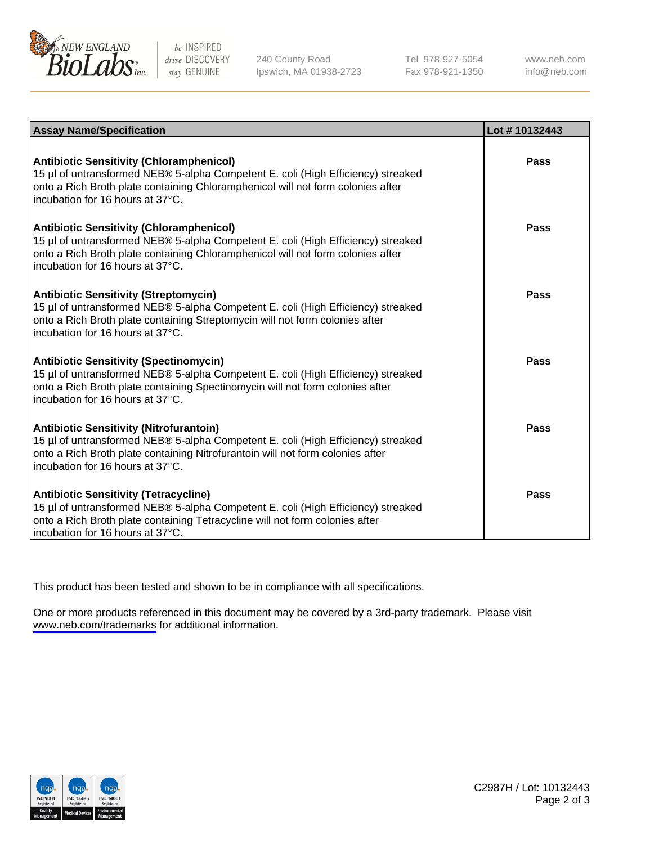

be INSPIRED drive DISCOVERY stay GENUINE

240 County Road Ipswich, MA 01938-2723 Tel 978-927-5054 Fax 978-921-1350

www.neb.com info@neb.com

| <b>Assay Name/Specification</b>                                                                                                                                                                                                                            | Lot #10132443 |
|------------------------------------------------------------------------------------------------------------------------------------------------------------------------------------------------------------------------------------------------------------|---------------|
| <b>Antibiotic Sensitivity (Chloramphenicol)</b><br>15 µl of untransformed NEB® 5-alpha Competent E. coli (High Efficiency) streaked<br>onto a Rich Broth plate containing Chloramphenicol will not form colonies after<br>incubation for 16 hours at 37°C. | Pass          |
| <b>Antibiotic Sensitivity (Chloramphenicol)</b><br>15 µl of untransformed NEB® 5-alpha Competent E. coli (High Efficiency) streaked<br>onto a Rich Broth plate containing Chloramphenicol will not form colonies after<br>incubation for 16 hours at 37°C. | Pass          |
| <b>Antibiotic Sensitivity (Streptomycin)</b><br>15 µl of untransformed NEB® 5-alpha Competent E. coli (High Efficiency) streaked<br>onto a Rich Broth plate containing Streptomycin will not form colonies after<br>incubation for 16 hours at 37°C.       | Pass          |
| <b>Antibiotic Sensitivity (Spectinomycin)</b><br>15 µl of untransformed NEB® 5-alpha Competent E. coli (High Efficiency) streaked<br>onto a Rich Broth plate containing Spectinomycin will not form colonies after<br>incubation for 16 hours at 37°C.     | <b>Pass</b>   |
| <b>Antibiotic Sensitivity (Nitrofurantoin)</b><br>15 µl of untransformed NEB® 5-alpha Competent E. coli (High Efficiency) streaked<br>onto a Rich Broth plate containing Nitrofurantoin will not form colonies after<br>incubation for 16 hours at 37°C.   | Pass          |
| <b>Antibiotic Sensitivity (Tetracycline)</b><br>15 µl of untransformed NEB® 5-alpha Competent E. coli (High Efficiency) streaked<br>onto a Rich Broth plate containing Tetracycline will not form colonies after<br>incubation for 16 hours at 37°C.       | Pass          |

This product has been tested and shown to be in compliance with all specifications.

One or more products referenced in this document may be covered by a 3rd-party trademark. Please visit <www.neb.com/trademarks>for additional information.